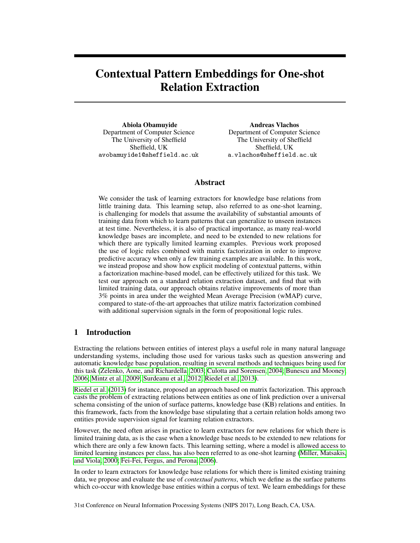# Contextual Pattern Embeddings for One-shot Relation Extraction

Abiola Obamuyide Department of Computer Science The University of Sheffield Sheffield, UK avobamuyide1@sheffield.ac.uk

Andreas Vlachos Department of Computer Science The University of Sheffield Sheffield, UK a.vlachos@sheffield.ac.uk

## Abstract

We consider the task of learning extractors for knowledge base relations from little training data. This learning setup, also referred to as one-shot learning, is challenging for models that assume the availability of substantial amounts of training data from which to learn patterns that can generalize to unseen instances at test time. Nevertheless, it is also of practical importance, as many real-world knowledge bases are incomplete, and need to be extended to new relations for which there are typically limited learning examples. Previous work proposed the use of logic rules combined with matrix factorization in order to improve predictive accuracy when only a few training examples are available. In this work, we instead propose and show how explicit modeling of contextual patterns, within a factorization machine-based model, can be effectively utilized for this task. We test our approach on a standard relation extraction dataset, and find that with limited training data, our approach obtains relative improvements of more than 3% points in area under the weighted Mean Average Precision (wMAP) curve, compared to state-of-the-art approaches that utilize matrix factorization combined with additional supervision signals in the form of propositional logic rules.

# 1 Introduction

Extracting the relations between entities of interest plays a useful role in many natural language understanding systems, including those used for various tasks such as question answering and automatic knowledge base population, resulting in several methods and techniques being used for this task [\(Zelenko, Aone, and Richardella, 2003;](#page-7-0) [Culotta and Sorensen, 2004;](#page-6-0) [Bunescu and Mooney,](#page-6-1) [2006;](#page-6-1) [Mintz et al., 2009;](#page-6-2) [Surdeanu et al., 2012;](#page-6-3) [Riedel et al., 2013\)](#page-6-4).

[Riedel et al.](#page-6-4) [\(2013\)](#page-6-4) for instance, proposed an approach based on matrix factorization. This approach casts the problem of extracting relations between entities as one of link prediction over a universal schema consisting of the union of surface patterns, knowledge base (KB) relations and entities. In this framework, facts from the knowledge base stipulating that a certain relation holds among two entities provide supervision signal for learning relation extractors.

However, the need often arises in practice to learn extractors for new relations for which there is limited training data, as is the case when a knowledge base needs to be extended to new relations for which there are only a few known facts. This learning setting, where a model is allowed access to limited learning instances per class, has also been referred to as one-shot learning [\(Miller, Matsakis,](#page-6-5) [and Viola, 2000;](#page-6-5) [Fei-Fei, Fergus, and Perona, 2006\)](#page-6-6).

In order to learn extractors for knowledge base relations for which there is limited existing training data, we propose and evaluate the use of *contextual patterns*, which we define as the surface patterns which co-occur with knowledge base entities within a corpus of text. We learn embeddings for these

31st Conference on Neural Information Processing Systems (NIPS 2017), Long Beach, CA, USA.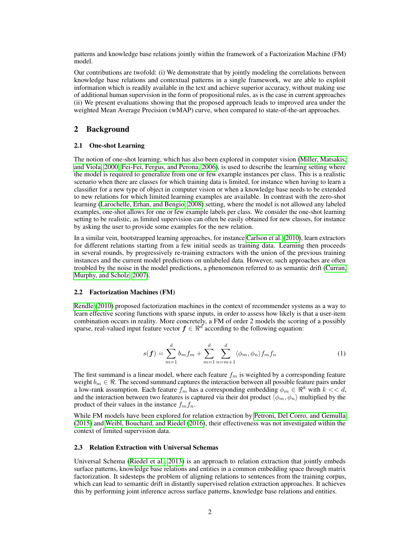patterns and knowledge base relations jointly within the framework of a Factorization Machine (FM) model.

Our contributions are twofold: (i) We demonstrate that by jointly modeling the correlations between knowledge base relations and contextual patterns in a single framework, we are able to exploit information which is readily available in the text and achieve superior accuracy, without making use of additional human supervision in the form of propositional rules, as is the case in current approaches (ii) We present evaluations showing that the proposed approach leads to improved area under the weighted Mean Average Precision (wMAP) curve, when compared to state-of-the-art approaches.

### 2 Background

#### 2.1 One-shot Learning

The notion of one-shot learning, which has also been explored in computer vision [\(Miller, Matsakis,](#page-6-5) [and Viola, 2000;](#page-6-5) [Fei-Fei, Fergus, and Perona, 2006\)](#page-6-6), is used to describe the learning setting where the model is required to generalize from one or few example instances per class. This is a realistic scenario when there are classes for which training data is limited, for instance when having to learn a classifier for a new type of object in computer vision or when a knowledge base needs to be extended to new relations for which limited learning examples are available. In contrast with the zero-shot learning [\(Larochelle, Erhan, and Bengio, 2008\)](#page-6-7) setting, where the model is not allowed any labeled examples, one-shot allows for one or few example labels per class. We consider the one-shot learning setting to be realistic, as limited supervision can often be easily obtained for new classes, for instance by asking the user to provide some examples for the new relation.

In a similar vein, bootstrapped learning approaches, for instance [Carlson et al.](#page-6-8) [\(2010\)](#page-6-8), learn extractors for different relations starting from a few initial seeds as training data. Learning then proceeds in several rounds, by progressively re-training extractors with the union of the previous training instances and the current model predictions on unlabeled data. However, such approaches are often troubled by the noise in the model predictions, a phenomenon referred to as semantic drift [\(Curran,](#page-6-9) [Murphy, and Scholz, 2007\)](#page-6-9).

#### 2.2 Factorization Machines (FM)

<span id="page-1-0"></span>[Rendle](#page-6-10) [\(2010\)](#page-6-10) proposed factorization machines in the context of recommender systems as a way to learn effective scoring functions with sparse inputs, in order to assess how likely is that a user-item combination occurs in reality. More concretely, a FM of order 2 models the scoring of a possibly sparse, real-valued input feature vector  $f \in \Re^d$  according to the following equation:

$$
s(f) = \sum_{m=1}^{d} b_m f_m + \sum_{m=1}^{d} \sum_{n=m+1}^{d} \langle \phi_m, \phi_n \rangle f_m f_n \tag{1}
$$

The first summand is a linear model, where each feature  $f_m$  is weighted by a corresponding feature weight  $b_m \in \mathbb{R}$ . The second summand captures the interaction between all possible feature pairs under a low-rank assumption. Each feature  $f_m$  has a corresponding embedding  $\phi_m \in \mathbb{R}^k$  with  $k \ll d$ , and the interaction between two features is captured via their dot product  $\langle \phi_m, \phi_n \rangle$  multiplied by the product of their values in the instance  $f_m f_n$ .

While FM models have been explored for relation extraction by [Petroni, Del Corro, and Gemulla](#page-6-11) [\(2015\)](#page-6-11) and [Weibl, Bouchard, and Riedel](#page-7-1) [\(2016\)](#page-7-1), their effectiveness was not investigated within the context of limited supervision data.

#### 2.3 Relation Extraction with Universal Schemas

Universal Schema [\(Riedel et al., 2013\)](#page-6-4) is an approach to relation extraction that jointly embeds surface patterns, knowledge base relations and entities in a common embedding space through matrix factorization. It sidesteps the problem of aligning relations to sentences from the training corpus, which can lead to semantic drift in distantly supervised relation extraction approaches. It achieves this by performing joint inference across surface patterns, knowledge base relations and entities.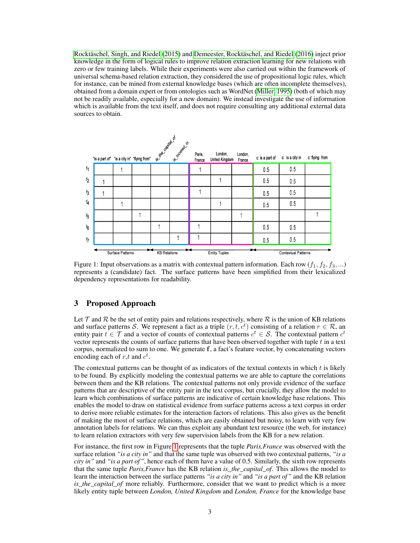[Rocktäschel, Singh, and Riedel](#page-6-12) [\(2015\)](#page-6-12) and [Demeester, Rocktäschel, and Riedel](#page-6-13) [\(2016\)](#page-6-13) inject prior knowledge in the form of logical rules to improve relation extraction learning for new relations with zero or few training labels. While their experiments were also carried out within the framework of universal schema-based relation extraction, they considered the use of propositional logic rules, which for instance, can be mined from external knowledge bases (which are often incomplete themselves), obtained from a domain expert or from ontologies such as WordNet [\(Miller, 1995\)](#page-6-14) (both of which may not be readily available, especially for a new domain). We instead investigate the use of information which is available from the text itself, and does not require consulting any additional external data sources to obtain.

<span id="page-2-0"></span>

Figure 1: Input observations as a matrix with contextual pattern information. Each row  $(f_1, f_2, f_3, ...)$ represents a (candidate) fact. The surface patterns have been simplified from their lexicalized dependency representations for readability.

## 3 Proposed Approach

Let  $\mathcal T$  and  $\mathcal R$  be the set of entity pairs and relations respectively, where  $\mathcal R$  is the union of KB relations and surface patterns S. We represent a fact as a triple  $(r, t, c<sup>t</sup>)$  consisting of a relation  $r \in \mathcal{R}$ , an entity pair  $t \in \mathcal{T}$  and a vector of counts of contextual patterns  $c^t \in \mathcal{S}$ . The contextual pattern  $c^t$ vector represents the counts of surface patterns that have been observed together with tuple  $t$  in a text corpus, normalized to sum to one. We generate f, a fact's feature vector, by concatenating vectors encoding each of  $r, t$  and  $c^t$ .

The contextual patterns can be thought of as indicators of the textual contexts in which  $t$  is likely to be found. By explicitly modeling the contextual patterns we are able to capture the correlations between them and the KB relations. The contextual patterns not only provide evidence of the surface patterns that are descriptive of the entity pair in the text corpus, but crucially, they allow the model to learn which combinations of surface patterns are indicative of certain knowledge base relations. This enables the model to draw on statistical evidence from surface patterns across a text corpus in order to derive more reliable estimates for the interaction factors of relations. This also gives us the benefit of making the most of surface relations, which are easily obtained but noisy, to learn with very few annotation labels for relations. We can thus exploit any abundant text resource (the web, for instance) to learn relation extractors with very few supervision labels from the KB for a new relation.

For instance, the first row in Figure [1](#page-2-0) represents that the tuple *Paris,France* was observed with the surface relation *"is a city in"* and that the same tuple was observed with two contextual patterns, *"is a city in"* and *"is a part of"*, hence each of them have a value of 0.5. Similarly, the sixth row represents that the same tuple *Paris,France* has the KB relation *is\_the\_capital\_of*. This allows the model to learn the interaction between the surface patterns *"is a city in"* and *"is a part of"* and the KB relation *is\_the\_capital\_of* more reliably. Furthermore, consider that we want to predict which is a more likely entity tuple between *London, United Kingdom* and *London, France* for the knowledge base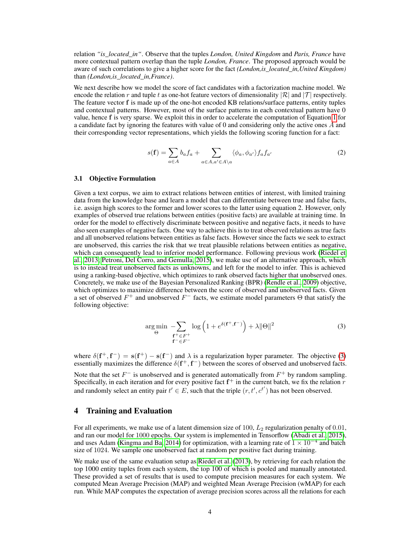relation *"is\_located\_in"*. Observe that the tuples *London, United Kingdom* and *Paris, France* have more contextual pattern overlap than the tuple *London, France*. The proposed approach would be aware of such correlations to give a higher score for the fact *(London,is\_located\_in,United Kingdom)* than *(London,is\_located\_in,France)*.

We next describe how we model the score of fact candidates with a factorization machine model. We encode the relation r and tuple t as one-hot feature vectors of dimensionality  $|\mathcal{R}|$  and  $|\mathcal{T}|$  respectively. The feature vector f is made up of the one-hot encoded KB relations/surface patterns, entity tuples and contextual patterns. However, most of the surface patterns in each contextual pattern have 0 value, hence f is very sparse. We exploit this in order to accelerate the computation of Equation [1](#page-1-0) for a candidate fact by ignoring the features with value of 0 and considering only the active ones A and their corresponding vector representations, which yields the following scoring function for a fact:

$$
s(\mathbf{f}) = \sum_{a \in A} b_a f_a + \sum_{a \in A, a' \in A \setminus a} \langle \phi_a, \phi_{a'} \rangle f_a f_{a'}
$$
 (2)

#### 3.1 Objective Formulation

Given a text corpus, we aim to extract relations between entities of interest, with limited training data from the knowledge base and learn a model that can differentiate between true and false facts, i.e. assign high scores to the former and lower scores to the latter using equation 2. However, only examples of observed true relations between entities (positive facts) are available at training time. In order for the model to effectively discriminate between positive and negative facts, it needs to have also seen examples of negative facts. One way to achieve this is to treat observed relations as true facts and all unobserved relations between entities as false facts. However since the facts we seek to extract are unobserved, this carries the risk that we treat plausible relations between entities as negative, which can consequently lead to inferior model performance. Following previous work [\(Riedel et](#page-6-4) [al., 2013;](#page-6-4) [Petroni, Del Corro, and Gemulla, 2015\)](#page-6-11), we make use of an alternative approach, which is to instead treat unobserved facts as unknowns, and left for the model to infer. This is achieved using a ranking-based objective, which optimizes to rank observed facts higher that unobserved ones. Concretely, we make use of the Bayesian Personalized Ranking (BPR) [\(Rendle et al., 2009\)](#page-6-15) objective, which optimizes to maximize difference between the score of observed and unobserved facts. Given a set of observed  $F^+$  and unobserved  $F^-$  facts, we estimate model parameters  $\Theta$  that satisfy the following objective:

$$
\underset{\Theta}{\arg\min} \quad -\sum_{\substack{\mathbf{f}^+ \in F^+\\ \mathbf{f}^- \in F^-}} \log\left(1 + e^{\delta(\mathbf{f}^+, \mathbf{f}^-)}\right) + \lambda \|\Theta\|^2 \tag{3}
$$

<span id="page-3-0"></span>where  $\delta(f^+, f^-) = s(f^+) - s(f^-)$  and  $\lambda$  is a regularization hyper parameter. The objective [\(3\)](#page-3-0) essentially maximizes the difference  $\delta(f^+, f^-)$  between the scores of observed and unobserved facts.

Note that the set  $F^-$  is unobserved and is generated automatically from  $F^+$  by random sampling. Specifically, in each iteration and for every positive fact  $f^+$  in the current batch, we fix the relation  $r$ and randomly select an entity pair  $t' \in E$ , such that the triple  $(r, t', c^{t'})$  has not been observed.

## 4 Training and Evaluation

For all experiments, we make use of a latent dimension size of 100,  $L_2$  regularization penalty of 0.01, and ran our model for 1000 epochs. Our system is implemented in Tensorflow [\(Abadi et al., 2015\)](#page-5-0), and uses Adam [\(Kingma and Ba, 2014\)](#page-6-16) for optimization, with a learning rate of  $1 \times 10^{-4}$  and batch size of 1024. We sample one unobserved fact at random per positive fact during training.

We make use of the same evaluation setup as [Riedel et al.](#page-6-4) [\(2013\)](#page-6-4), by retrieving for each relation the top 1000 entity tuples from each system, the top 100 of which is pooled and manually annotated. These provided a set of results that is used to compute precision measures for each system. We computed Mean Average Precision (MAP) and weighted Mean Average Precision (wMAP) for each run. While MAP computes the expectation of average precision scores across all the relations for each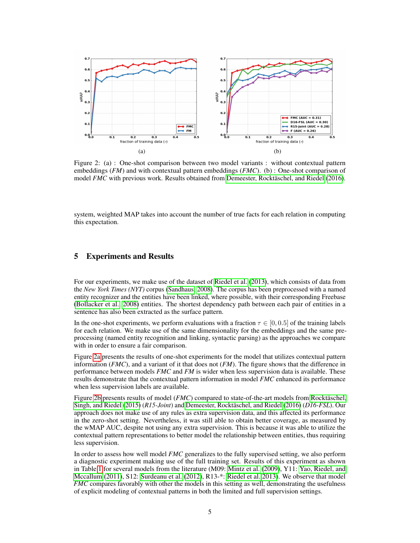<span id="page-4-0"></span>

Figure 2: (a) : One-shot comparison between two model variants : without contextual pattern embeddings (*FM*) and with contextual pattern embeddings (*FMC*). (b) : One-shot comparison of model *FMC* with previous work. Results obtained from [Demeester, Rocktäschel, and Riedel](#page-6-13) [\(2016\)](#page-6-13).

system, weighted MAP takes into account the number of true facts for each relation in computing this expectation.

## 5 Experiments and Results

For our experiments, we make use of the dataset of [Riedel et al.](#page-6-4) [\(2013\)](#page-6-4), which consists of data from the *New York Times (NYT)* corpus [\(Sandhaus, 2008\)](#page-6-17). The corpus has been preprocessed with a named entity recognizer and the entities have been linked, where possible, with their corresponding Freebase [\(Bollacker et al., 2008\)](#page-5-1) entities. The shortest dependency path between each pair of entities in a sentence has also been extracted as the surface pattern.

In the one-shot experiments, we perform evaluations with a fraction  $\tau \in [0, 0.5]$  of the training labels for each relation. We make use of the same dimensionality for the embeddings and the same preprocessing (named entity recognition and linking, syntactic parsing) as the approaches we compare with in order to ensure a fair comparison.

Figure [2a](#page-4-0) presents the results of one-shot experiments for the model that utilizes contextual pattern information (*FMC*), and a variant of it that does not (*FM*). The figure shows that the difference in performance between models *FMC* and *FM* is wider when less supervision data is available. These results demonstrate that the contextual pattern information in model *FMC* enhanced its performance when less supervision labels are available.

Figure [2b](#page-4-0) presents results of model (*FMC*) compared to state-of-the-art models from [Rocktäschel,](#page-6-12) [Singh, and Riedel](#page-6-12) [\(2015\)](#page-6-12) (*R15-Joint*) and [Demeester, Rocktäschel, and Riedel](#page-6-13) [\(2016\)](#page-6-13) (*D16-FSL*). Our approach does not make use of any rules as extra supervision data, and this affected its performance in the zero-shot setting. Nevertheless, it was still able to obtain better coverage, as measured by the wMAP AUC, despite not using any extra supervision. This is because it was able to utilize the contextual pattern representations to better model the relationship between entities, thus requiring less supervision.

In order to assess how well model *FMC* generalizes to the fully supervised setting, we also perform a diagnostic experiment making use of the full training set. Results of this experiment as shown in Table [1](#page-5-2) for several models from the literature (M09: [Mintz et al.](#page-6-2) [\(2009\)](#page-6-2), Y11: [Yao, Riedel, and](#page-7-2) [Mccallum](#page-7-2) [\(2011\)](#page-7-2), S12: [Surdeanu et al.](#page-6-3) [\(2012\)](#page-6-3), R13-\*: [Riedel et al.](#page-6-4) [2013\)](#page-6-4). We observe that model *FMC* compares favorably with other the models in this setting as well, demonstrating the usefulness of explicit modeling of contextual patterns in both the limited and full supervision settings.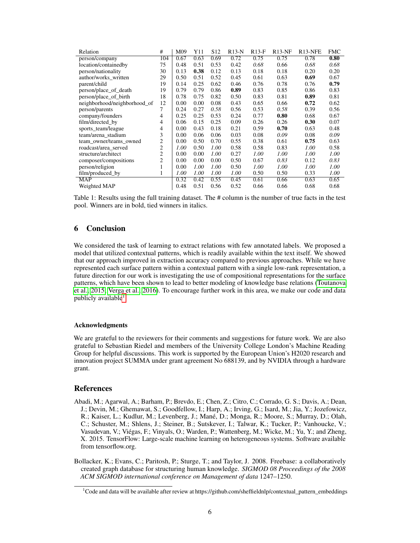<span id="page-5-2"></span>

| Relation                     | #              | M09  | Y11  | S <sub>12</sub> | $R13-N$ | $R13-F$ | $R13-NF$ | R <sub>13</sub> -NFE | <b>FMC</b> |
|------------------------------|----------------|------|------|-----------------|---------|---------|----------|----------------------|------------|
| person/company               | 104            | 0.67 | 0.63 | 0.69            | 0.72    | 0.75    | 0.75     | 0.78                 | 0.80       |
| location/containedby         | 75             | 0.48 | 0.51 | 0.53            | 0.42    | 0.68    | 0.66     | 0.68                 | 0.68       |
| person/nationality           | 30             | 0.13 | 0.38 | 0.12            | 0.13    | 0.18    | 0.18     | 0.20                 | 0.20       |
| author/works written         | 29             | 0.50 | 0.51 | 0.52            | 0.45    | 0.61    | 0.63     | 0.69                 | 0.67       |
| parent/child                 | 19             | 0.14 | 0.25 | 0.62            | 0.46    | 0.76    | 0.78     | 0.76                 | 0.79       |
| person/place_of_death        | 19             | 0.79 | 0.79 | 0.86            | 0.89    | 0.83    | 0.85     | 0.86                 | 0.83       |
| person/place of birth        | 18             | 0.78 | 0.75 | 0.82            | 0.50    | 0.83    | 0.81     | 0.89                 | 0.81       |
| neighborhood/neighborhood_of | 12             | 0.00 | 0.00 | 0.08            | 0.43    | 0.65    | 0.66     | 0.72                 | 0.62       |
| person/parents               | 7              | 0.24 | 0.27 | 0.58            | 0.56    | 0.53    | 0.58     | 0.39                 | 0.56       |
| company/founders             | 4              | 0.25 | 0.25 | 0.53            | 0.24    | 0.77    | 0.80     | 0.68                 | 0.67       |
| film/directed_by             | 4              | 0.06 | 0.15 | 0.25            | 0.09    | 0.26    | 0.26     | 0.30                 | 0.07       |
| sports team/league           | 4              | 0.00 | 0.43 | 0.18            | 0.21    | 0.59    | 0.70     | 0.63                 | 0.48       |
| team/arena stadium           | 3              | 0.00 | 0.06 | 0.06            | 0.03    | 0.08    | 0.09     | 0.08                 | 0.09       |
| team owner/teams owned       | 2              | 0.00 | 0.50 | 0.70            | 0.55    | 0.38    | 0.61     | 0.75                 | 0.63       |
| roadcast/area served         | $\overline{2}$ | 1.00 | 0.50 | 1.00            | 0.58    | 0.58    | 0.83     | 1.00                 | 0.58       |
| structure/architect          | $\overline{2}$ | 0.00 | 0.00 | 1.00            | 0.27    | 1.00    | 1.00     | 1.00                 | 1.00       |
| composer/compositions        | 2              | 0.00 | 0.00 | 0.00            | 0.50    | 0.67    | 0.83     | 0.12                 | 0.83       |
| person/religion              |                | 0.00 | 1.00 | 1.00            | 0.50    | 1.00    | 1.00     | 1.00                 | 1.00       |
| film/produced_by             | 1              | 1.00 | 1.00 | 1.00            | 1.00    | 0.50    | 0.50     | 0.33                 | 1.00       |
| <b>MAP</b>                   |                | 0.32 | 0.42 | 0.55            | 0.45    | 0.61    | 0.66     | 0.63                 | 0.65       |
| Weighted MAP                 |                | 0.48 | 0.51 | 0.56            | 0.52    | 0.66    | 0.66     | 0.68                 | 0.68       |

Table 1: Results using the full training dataset. The # column is the number of true facts in the test pool. Winners are in bold, tied winners in italics.

## 6 Conclusion

We considered the task of learning to extract relations with few annotated labels. We proposed a model that utilized contextual patterns, which is readily available within the text itself. We showed that our approach improved in extraction accuracy compared to previous approaches. While we have represented each surface pattern within a contextual pattern with a single low-rank representation, a future direction for our work is investigating the use of compositional representations for the surface patterns, which have been shown to lead to better modeling of knowledge base relations [\(Toutanova](#page-7-3) [et al., 2015;](#page-7-3) [Verga et al., 2016\)](#page-7-4). To encourage further work in this area, we make our code and data publicly available<sup>[1](#page-5-3)</sup>.

#### Acknowledgments

We are grateful to the reviewers for their comments and suggestions for future work. We are also grateful to Sebastian Riedel and members of the University College London's Machine Reading Group for helpful discussions. This work is supported by the European Union's H2020 research and innovation project SUMMA under grant agreement No 688139, and by NVIDIA through a hardware grant.

#### References

- <span id="page-5-0"></span>Abadi, M.; Agarwal, A.; Barham, P.; Brevdo, E.; Chen, Z.; Citro, C.; Corrado, G. S.; Davis, A.; Dean, J.; Devin, M.; Ghemawat, S.; Goodfellow, I.; Harp, A.; Irving, G.; Isard, M.; Jia, Y.; Jozefowicz, R.; Kaiser, L.; Kudlur, M.; Levenberg, J.; Mané, D.; Monga, R.; Moore, S.; Murray, D.; Olah, C.; Schuster, M.; Shlens, J.; Steiner, B.; Sutskever, I.; Talwar, K.; Tucker, P.; Vanhoucke, V.; Vasudevan, V.; Viégas, F.; Vinyals, O.; Warden, P.; Wattenberg, M.; Wicke, M.; Yu, Y.; and Zheng, X. 2015. TensorFlow: Large-scale machine learning on heterogeneous systems. Software available from tensorflow.org.
- <span id="page-5-1"></span>Bollacker, K.; Evans, C.; Paritosh, P.; Sturge, T.; and Taylor, J. 2008. Freebase: a collaboratively created graph database for structuring human knowledge. *SIGMOD 08 Proceedings of the 2008 ACM SIGMOD international conference on Management of data* 1247–1250.

<span id="page-5-3"></span><sup>&</sup>lt;sup>1</sup>Code and data will be available after review at https://github.com/sheffieldnlp/contextual\_pattern\_embeddings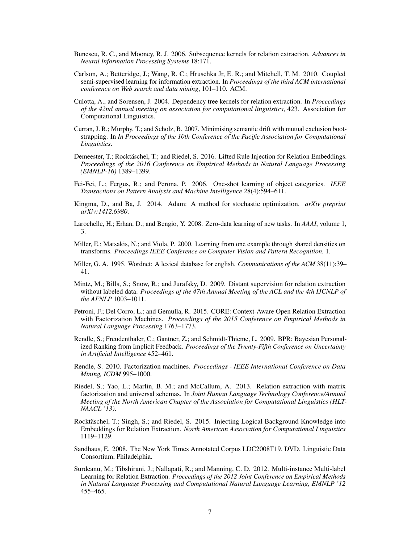- <span id="page-6-1"></span>Bunescu, R. C., and Mooney, R. J. 2006. Subsequence kernels for relation extraction. *Advances in Neural Information Processing Systems* 18:171.
- <span id="page-6-8"></span>Carlson, A.; Betteridge, J.; Wang, R. C.; Hruschka Jr, E. R.; and Mitchell, T. M. 2010. Coupled semi-supervised learning for information extraction. In *Proceedings of the third ACM international conference on Web search and data mining*, 101–110. ACM.
- <span id="page-6-0"></span>Culotta, A., and Sorensen, J. 2004. Dependency tree kernels for relation extraction. In *Proceedings of the 42nd annual meeting on association for computational linguistics*, 423. Association for Computational Linguistics.
- <span id="page-6-9"></span>Curran, J. R.; Murphy, T.; and Scholz, B. 2007. Minimising semantic drift with mutual exclusion bootstrapping. In *In Proceedings of the 10th Conference of the Pacific Association for Computational Linguistics*.
- <span id="page-6-13"></span>Demeester, T.; Rocktäschel, T.; and Riedel, S. 2016. Lifted Rule Injection for Relation Embeddings. *Proceedings of the 2016 Conference on Empirical Methods in Natural Language Processing (EMNLP-16)* 1389–1399.
- <span id="page-6-6"></span>Fei-Fei, L.; Fergus, R.; and Perona, P. 2006. One-shot learning of object categories. *IEEE Transactions on Pattern Analysis and Machine Intelligence* 28(4):594–611.
- <span id="page-6-16"></span>Kingma, D., and Ba, J. 2014. Adam: A method for stochastic optimization. *arXiv preprint arXiv:1412.6980*.
- <span id="page-6-7"></span>Larochelle, H.; Erhan, D.; and Bengio, Y. 2008. Zero-data learning of new tasks. In *AAAI*, volume 1, 3.
- <span id="page-6-5"></span>Miller, E.; Matsakis, N.; and Viola, P. 2000. Learning from one example through shared densities on transforms. *Proceedings IEEE Conference on Computer Vision and Pattern Recognition.* 1.
- <span id="page-6-14"></span>Miller, G. A. 1995. Wordnet: A lexical database for english. *Communications of the ACM* 38(11):39– 41.
- <span id="page-6-2"></span>Mintz, M.; Bills, S.; Snow, R.; and Jurafsky, D. 2009. Distant supervision for relation extraction without labeled data. *Proceedings of the 47th Annual Meeting of the ACL and the 4th IJCNLP of the AFNLP* 1003–1011.
- <span id="page-6-11"></span>Petroni, F.; Del Corro, L.; and Gemulla, R. 2015. CORE: Context-Aware Open Relation Extraction with Factorization Machines. *Proceedings of the 2015 Conference on Empirical Methods in Natural Language Processing* 1763–1773.
- <span id="page-6-15"></span>Rendle, S.; Freudenthaler, C.; Gantner, Z.; and Schmidt-Thieme, L. 2009. BPR: Bayesian Personalized Ranking from Implicit Feedback. *Proceedings of the Twenty-Fifth Conference on Uncertainty in Artificial Intelligence* 452–461.
- <span id="page-6-10"></span>Rendle, S. 2010. Factorization machines. *Proceedings - IEEE International Conference on Data Mining, ICDM* 995–1000.
- <span id="page-6-4"></span>Riedel, S.; Yao, L.; Marlin, B. M.; and McCallum, A. 2013. Relation extraction with matrix factorization and universal schemas. In *Joint Human Language Technology Conference/Annual Meeting of the North American Chapter of the Association for Computational Linguistics (HLT-NAACL '13)*.
- <span id="page-6-12"></span>Rocktäschel, T.; Singh, S.; and Riedel, S. 2015. Injecting Logical Background Knowledge into Embeddings for Relation Extraction. *North American Association for Computational Linguistics* 1119–1129.
- <span id="page-6-17"></span>Sandhaus, E. 2008. The New York Times Annotated Corpus LDC2008T19. DVD. Linguistic Data Consortium, Philadelphia.
- <span id="page-6-3"></span>Surdeanu, M.; Tibshirani, J.; Nallapati, R.; and Manning, C. D. 2012. Multi-instance Multi-label Learning for Relation Extraction. *Proceedings of the 2012 Joint Conference on Empirical Methods in Natural Language Processing and Computational Natural Language Learning, EMNLP '12* 455–465.